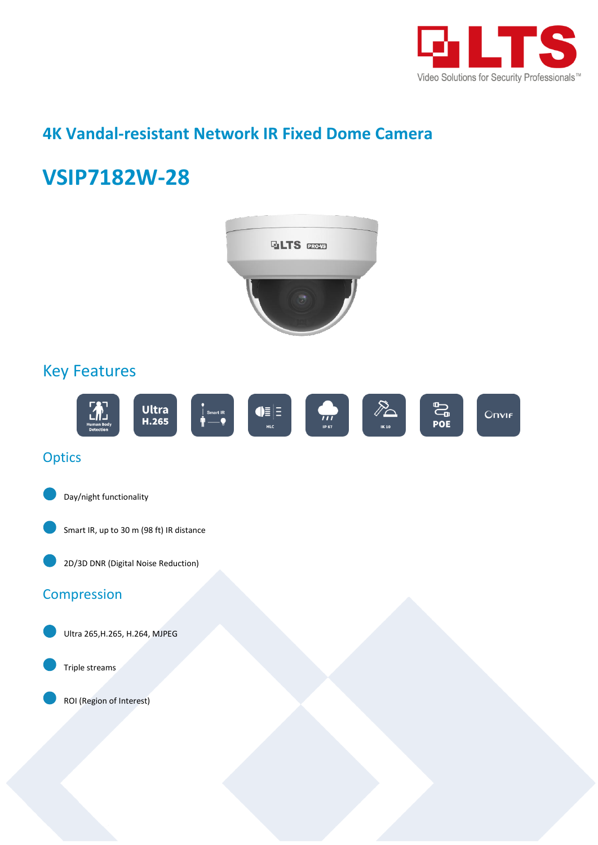

## **4K Vandal-resistant Network IR Fixed Dome Camera**

# **VSIP7182W-28**

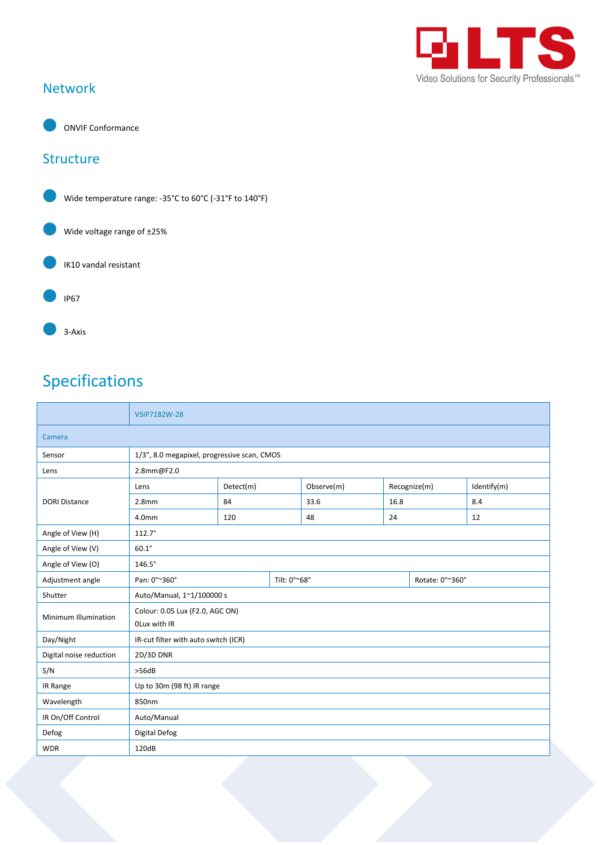

#### Network



ONVIF Conformance

#### **Structure**



## Specifications

|                         | VSIP7182W-28                                    |              |  |            |              |                 |             |
|-------------------------|-------------------------------------------------|--------------|--|------------|--------------|-----------------|-------------|
| Camera                  |                                                 |              |  |            |              |                 |             |
| Sensor                  | 1/3", 8.0 megapixel, progressive scan, CMOS     |              |  |            |              |                 |             |
| Lens                    | 2.8mm@F2.0                                      |              |  |            |              |                 |             |
| <b>DORI Distance</b>    | Lens                                            | Detect(m)    |  | Observe(m) | Recognize(m) |                 | Identify(m) |
|                         | 2.8 <sub>mm</sub>                               | 84           |  | 33.6       | 16.8         |                 | 8.4         |
|                         | 4.0 <sub>mm</sub>                               | 120          |  | 48         | 24           |                 | 12          |
| Angle of View (H)       | $112.7^\circ$                                   |              |  |            |              |                 |             |
| Angle of View (V)       | $60.1^\circ$                                    |              |  |            |              |                 |             |
| Angle of View (O)       | $146.5^\circ$                                   |              |  |            |              |                 |             |
| Adjustment angle        | Pan: 0°~360°                                    | Tilt: 0°~68° |  |            |              | Rotate: 0°~360° |             |
| Shutter                 | Auto/Manual, 1~1/100000 s                       |              |  |            |              |                 |             |
| Minimum Illumination    | Colour: 0.05 Lux (F2.0, AGC ON)<br>OLux with IR |              |  |            |              |                 |             |
| Day/Night               | IR-cut filter with auto switch (ICR)            |              |  |            |              |                 |             |
| Digital noise reduction | 2D/3D DNR                                       |              |  |            |              |                 |             |
| S/N                     | >56dB                                           |              |  |            |              |                 |             |
| IR Range                | Up to 30m (98 ft) IR range                      |              |  |            |              |                 |             |
| Wavelength              | 850nm                                           |              |  |            |              |                 |             |
| IR On/Off Control       | Auto/Manual                                     |              |  |            |              |                 |             |
| Defog                   | Digital Defog                                   |              |  |            |              |                 |             |
| <b>WDR</b>              | 120dB                                           |              |  |            |              |                 |             |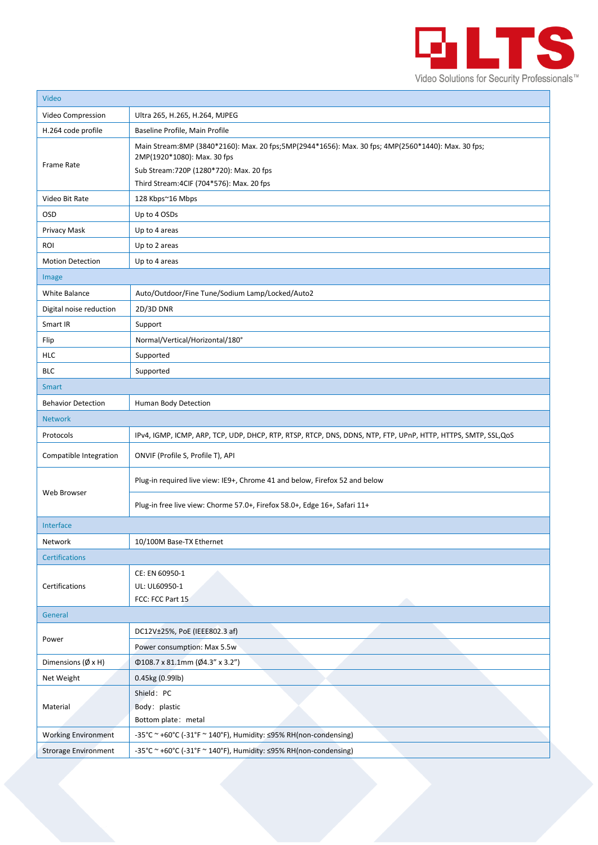

| Video                             |                                                                                                                                                                               |  |  |  |  |  |
|-----------------------------------|-------------------------------------------------------------------------------------------------------------------------------------------------------------------------------|--|--|--|--|--|
| Video Compression                 | Ultra 265, H.265, H.264, MJPEG                                                                                                                                                |  |  |  |  |  |
| H.264 code profile                | Baseline Profile, Main Profile                                                                                                                                                |  |  |  |  |  |
| Frame Rate                        | Main Stream:8MP (3840*2160): Max. 20 fps;5MP(2944*1656): Max. 30 fps; 4MP(2560*1440): Max. 30 fps;<br>2MP(1920*1080): Max. 30 fps<br>Sub Stream: 720P (1280*720): Max. 20 fps |  |  |  |  |  |
|                                   | Third Stream: 4CIF (704*576): Max. 20 fps                                                                                                                                     |  |  |  |  |  |
| Video Bit Rate                    | 128 Kbps~16 Mbps                                                                                                                                                              |  |  |  |  |  |
| <b>OSD</b>                        | Up to 4 OSDs                                                                                                                                                                  |  |  |  |  |  |
| Privacy Mask                      | Up to 4 areas                                                                                                                                                                 |  |  |  |  |  |
| <b>ROI</b>                        | Up to 2 areas                                                                                                                                                                 |  |  |  |  |  |
| <b>Motion Detection</b>           | Up to 4 areas                                                                                                                                                                 |  |  |  |  |  |
| Image                             |                                                                                                                                                                               |  |  |  |  |  |
| White Balance                     | Auto/Outdoor/Fine Tune/Sodium Lamp/Locked/Auto2                                                                                                                               |  |  |  |  |  |
| Digital noise reduction           | 2D/3D DNR                                                                                                                                                                     |  |  |  |  |  |
| Smart IR                          | Support                                                                                                                                                                       |  |  |  |  |  |
| Flip                              | Normal/Vertical/Horizontal/180°                                                                                                                                               |  |  |  |  |  |
| HLC                               | Supported                                                                                                                                                                     |  |  |  |  |  |
| <b>BLC</b>                        | Supported                                                                                                                                                                     |  |  |  |  |  |
| <b>Smart</b>                      |                                                                                                                                                                               |  |  |  |  |  |
| <b>Behavior Detection</b>         | Human Body Detection                                                                                                                                                          |  |  |  |  |  |
| <b>Network</b>                    |                                                                                                                                                                               |  |  |  |  |  |
| Protocols                         | IPv4, IGMP, ICMP, ARP, TCP, UDP, DHCP, RTP, RTSP, RTCP, DNS, DDNS, NTP, FTP, UPnP, HTTP, HTTPS, SMTP, SSL,QoS                                                                 |  |  |  |  |  |
| Compatible Integration            | ONVIF (Profile S, Profile T), API                                                                                                                                             |  |  |  |  |  |
|                                   | Plug-in required live view: IE9+, Chrome 41 and below, Firefox 52 and below                                                                                                   |  |  |  |  |  |
| Web Browser                       | Plug-in free live view: Chorme 57.0+, Firefox 58.0+, Edge 16+, Safari 11+                                                                                                     |  |  |  |  |  |
| Interface                         |                                                                                                                                                                               |  |  |  |  |  |
| Network                           | 10/100M Base-TX Ethernet                                                                                                                                                      |  |  |  |  |  |
| <b>Certifications</b>             |                                                                                                                                                                               |  |  |  |  |  |
| Certifications                    | CE: EN 60950-1<br>UL: UL60950-1<br>FCC: FCC Part 15<br>≏                                                                                                                      |  |  |  |  |  |
| General                           |                                                                                                                                                                               |  |  |  |  |  |
|                                   | DC12V±25%, PoE (IEEE802.3 af)                                                                                                                                                 |  |  |  |  |  |
| Power                             | Power consumption: Max 5.5w                                                                                                                                                   |  |  |  |  |  |
| Dimensions $(\emptyset \times H)$ | Φ108.7 x 81.1mm (Ø4.3" x 3.2")                                                                                                                                                |  |  |  |  |  |
| Net Weight                        | 0.45kg (0.99lb)                                                                                                                                                               |  |  |  |  |  |
| Material                          | Shield: PC                                                                                                                                                                    |  |  |  |  |  |
|                                   | Body: plastic                                                                                                                                                                 |  |  |  |  |  |
|                                   | Bottom plate: metal                                                                                                                                                           |  |  |  |  |  |
| <b>Working Environment</b>        | -35°C ~ +60°C (-31°F ~ 140°F), Humidity: ≤95% RH(non-condensing)                                                                                                              |  |  |  |  |  |
| <b>Strorage Environment</b>       | -35°C ~ +60°C (-31°F ~ 140°F), Humidity: ≤95% RH(non-condensing)                                                                                                              |  |  |  |  |  |